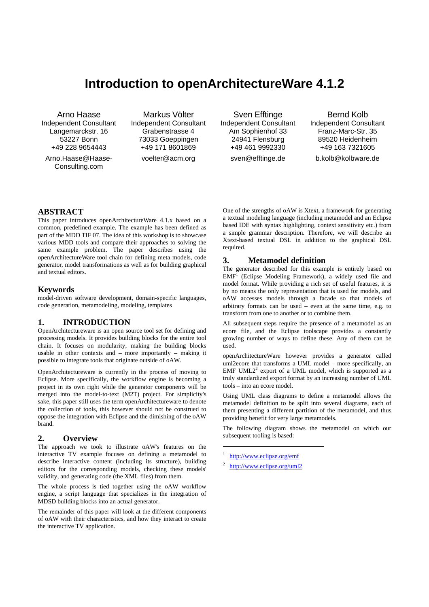# **Introduction to openArchitectureWare 4.1.2**

Arno Haase Independent Consultant Langemarckstr. 16 53227 Bonn +49 228 9654443

Arno.Haase@Haase-Consulting.com

Markus Völter Independent Consultant Grabenstrasse 4 73033 Goeppingen +49 171 8601869 voelter@acm.org

Sven Efftinge Independent Consultant Am Sophienhof 33 24941 Flensburg +49 461 9992330 sven@efftinge.de

Bernd Kolb Independent Consultant Franz-Marc-Str. 35 89520 Heidenheim +49 163 7321605 b.kolb@kolbware.de

# **ABSTRACT**

This paper introduces openArchitectureWare 4.1.x based on a common, predefined example. The example has been defined as part of the MDD TIF 07. The idea of this workshop is to showcase various MDD tools and compare their approaches to solving the same example problem. The paper describes using the openArchitectureWare tool chain for defining meta models, code generator, model transformations as well as for building graphical and textual editors.

#### **Keywords**

model-driven software development, domain-specific languages, code generation, metamodeling, modeling, templates

# **1. INTRODUCTION**

OpenArchitectureware is an open source tool set for defining and processing models. It provides building blocks for the entire tool chain. It focuses on modularity, making the building blocks usable in other contexts and – more importantly – making it possible to integrate tools that originate outside of oAW.

OpenArchitectureware is currently in the process of moving to Eclipse. More specifically, the workflow engine is becoming a project in its own right while the generator components will be merged into the model-to-text (M2T) project. For simplicity's sake, this paper still uses the term openArchitectureware to denote the collection of tools, this however should not be construed to oppose the integration with Eclipse and the dimishing of the oAW brand.

#### **2. Overview**

The approach we took to illustrate oAW's features on the interactive TV example focuses on defining a metamodel to describe interactive content (including its structure), building editors for the corresponding models, checking these models' validity, and generating code (the XML files) from them.

The whole process is tied together using the oAW workflow engine, a script language that specializes in the integration of MDSD building blocks into an actual generator.

The remainder of this paper will look at the different components of oAW with their characteristics, and how they interact to create the interactive TV application.

One of the strengths of oAW is Xtext, a framework for generating a textual modeling language (including metamodel and an Eclipse based IDE with syntax highlighting, context sensitivity etc.) from a simple grammar description. Therefore, we will describe an Xtext-based textual DSL in addition to the graphical DSL required.

## **3. Metamodel definition**

The generator described for this example is entirely based on  $EMF<sup>I</sup>$  (Eclipse Modeling Framework), a widely used file and model format. While providing a rich set of useful features, it is by no means the only representation that is used for models, and oAW accesses models through a facade so that models of arbitrary formats can be used – even at the same time, e.g. to transform from one to another or to combine them.

All subsequent steps require the presence of a metamodel as an ecore file, and the Eclipse toolscape provides a constantly growing number of ways to define these. Any of them can be used.

openArchitectureWare however provides a generator called uml2ecore that transforms a UML model – more specifically, an EMF UML $2<sup>2</sup>$  export of a UML model, which is supported as a truly standardized export format by an increasing number of UML tools – into an ecore model.

Using UML class diagrams to define a metamodel allows the metamodel definition to be split into several diagrams, each of them presenting a different partition of the metamodel, and thus providing benefit for very large metamodels.

The following diagram shows the metamodel on which our subsequent tooling is based:

1 http://www.eclipse.org/emf

 $\overline{a}$ 

2 http://www.eclipse.org/uml2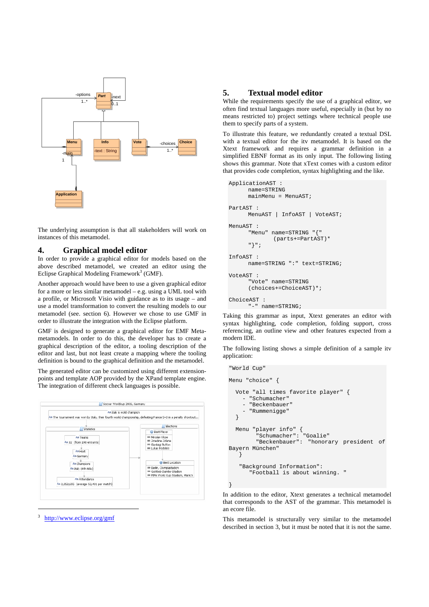

The underlying assumption is that all stakeholders will work on instances of this metamodel.

## **4. Graphical model editor**

In order to provide a graphical editor for models based on the above described metamodel, we created an editor using the Eclipse Graphical Modeling Framework<sup>3</sup> (GMF).

Another approach would have been to use a given graphical editor for a more or less similar metamodel – e.g. using a UML tool with a profile, or Microsoft Visio with guidance as to its usage – and use a model transformation to convert the resulting models to our metamodel (see. section 6). However we chose to use GMF in order to illustrate the integration with the Eclipse platform.

GMF is designed to generate a graphical editor for EMF Metametamodels. In order to do this, the developer has to create a graphical description of the editor, a tooling description of the editor and last, but not least create a mapping where the tooling definition is bound to the graphical definition and the metamodel.

The generated editor can be customized using different extensionpoints and template AOP provided by the XPand template engine. The integration of different check languages is possible.



3 http://www.eclipse.org/gmf

## **5. Textual model editor**

While the requirements specify the use of a graphical editor, we often find textual languages more useful, especially in (but by no means restricted to) project settings where technical people use them to specify parts of a system.

To illustrate this feature, we redundantly created a textual DSL with a textual editor for the itv metamodel. It is based on the Xtext framework and requires a grammar definition in a simplified EBNF format as its only input. The following listing shows this grammar. Note that xText comes with a custom editor that provides code completion, syntax highlighting and the like.

```
ApplicationAST : 
       name=STRING 
       mainMenu = MenuAST; 
PartAST : 
       MenuAST | InfoAST | VoteAST; 
MenuAST : 
       "Menu" name=STRING "{" 
                (parts+=PartAST)* 
       "}"; 
InfoAST : 
       name=STRING ":" text=STRING; 
VoteAST : 
       "Vote" name=STRING 
       (choices+=ChoiceAST)*; 
ChoiceAST : 
       "-" name=STRING;
```
Taking this grammar as input, Xtext generates an editor with syntax highlighting, code completion, folding support, cross referencing, an outline view and other features expected from a modern IDE.

The following listing shows a simple definition of a sample itv application:

```
"World Cup" 
Menu "choice" { 
   Vote "all times favorite player" { 
     - "Schumacher" 
     - "Beckenbauer" 
       - "Rummenigge" 
   } 
 Menu "player info" { 
 "Schumacher": "Goalie" 
          "Beckenbauer": "honorary president of 
Bayern München" 
    } 
    "Background Information": 
       "Football is about winning. " 
}
```
In addition to the editor, Xtext generates a technical metamodel that corresponds to the AST of the grammar. This metamodel is an ecore file.

This metamodel is structurally very similar to the metamodel described in section 3, but it must be noted that it is not the same.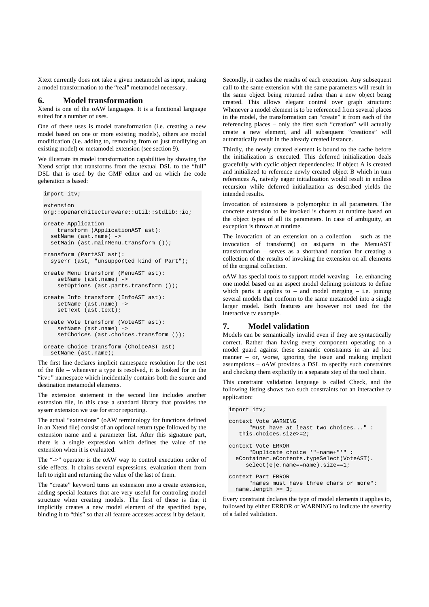Xtext currently does not take a given metamodel as input, making a model transformation to the "real" metamodel necessary.

#### **6. Model transformation**

Xtend is one of the oAW languages. It is a functional language suited for a number of uses.

One of these uses is model transformation (i.e. creating a new model based on one or more existing models), others are model modification (i.e. adding to, removing from or just modifying an existing model) or metamodel extension (see section 9).

We illustrate its model transformation capabilities by showing the Xtend script that transforms from the textual DSL to the "full" DSL that is used by the GMF editor and on which the code geheration is based:

```
import itv; 
extension 
org::openarchitectureware::util::stdlib::io; 
create Application 
     transform (ApplicationAST ast): 
   setName (ast.name) -> 
  setMain (ast.mainMenu.transform ());
transform (PartAST ast): 
   syserr (ast, "unsupported kind of Part"); 
create Menu transform (MenuAST ast): 
     setName (ast.name) -> 
    setOptions (ast.parts.transform ());
create Info transform (InfoAST ast): 
 setName (ast.name) -> 
 setText (ast.text); 
create Vote transform (VoteAST ast): 
     setName (ast.name) -> 
    setChoices (ast.choices.transform ());
create Choice transform (ChoiceAST ast) 
   setName (ast.name);
```
The first line declares implicit namespace resolution for the rest of the file – whenever a type is resolved, it is looked for in the "itv::" namespace which incidentally contains both the source and destination metamodel elements.

The extension statement in the second line includes another extension file, in this case a standard library that provides the syserr extension we use for error reporting.

The actual "extensions" (oAW terminology for functions defined in an Xtend file) consist of an optional return type followed by the extension name and a parameter list. After this signature part, there is a single expression which defines the value of the extension when it is evaluated.

The "->" operator is the oAW way to control execution order of side effects. It chains several expressions, evaluation them from left to right and returning the value of the last of them.

The "create" keyword turns an extension into a create extension, adding special features that are very useful for controling model structure when creating models. The first of these is that it implicitly creates a new model element of the specified type, binding it to "this" so that all feature accesses access it by default.

Secondly, it caches the results of each execution. Any subsequent call to the same extension with the same parameters will result in the same object being returned rather than a new object being created. This allows elegant control over graph structure: Whenever a model element is to be referenced from several places in the model, the transformation can "create" it from each of the referencing places – only the first such "creation" will actually create a new element, and all subsequent "creations" will automatically result in the already created instance.

Thirdly, the newly created element is bound to the cache before the initialization is executed. This deferred initialization deals gracefully with cyclic object dependencies: If object A is created and initialized to reference newly created object B which in turn references A, naively eager initialization would result in endless recursion while deferred initialization as described yields the intended results.

Invocation of extensions is polymorphic in all parameters. The concrete extension to be invoked is chosen at runtime based on the object types of all its parameters. In case of ambiguity, an exception is thrown at runtime.

The invocation of an extension on a collection – such as the invocation of transform() on ast.parts in the MenuAST transformation – serves as a shorthand notation for creating a collection of the results of invoking the extension on all elements of the original collection.

oAW has special tools to support model weaving – i.e. enhancing one model based on an aspect model defining pointcuts to define which parts it applies to – and model merging – i.e. joining several models that conform to the same metamodel into a single larger model. Both features are however not used for the interactive tv example.

# **7. Model validation**

Models can be semantically invalid even if they are syntactically correct. Rather than having every component operating on a model guard against these semantic constraints in an ad hoc manner – or, worse, ignoring the issue and making implicit assumptions – oAW provides a DSL to specify such constraints and checking them explicitly in a separate step of the tool chain.

This constraint validation language is called Check, and the following listing shows two such constraints for an interactive tv application:

```
import itv; 
context Vote WARNING 
       "Must have at least two choices..." : 
    this.choices.size>=2; 
context Vote ERROR 
       "Duplicate choice '"+name+"'" : 
   eContainer.eContents.typeSelect(VoteAST). 
      select(e|e.name==name).size==1; 
context Part ERROR 
       "names must have three chars or more": 
  name.length >= 3i
```
Every constraint declares the type of model elements it applies to, followed by either ERROR or WARNING to indicate the severity of a failed validation.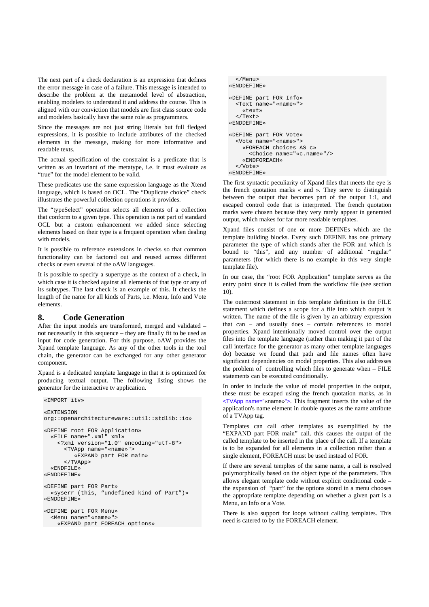The next part of a check declaration is an expression that defines the error message in case of a failure. This message is intended to describe the problem at the metamodel level of abstraction, enabling modelers to understand it and address the course. This is aligned with our conviction that models are first class source code and modelers basically have the same role as programmers.

Since the messages are not just string literals but full fledged expressions, it is possible to include attributes of the checked elements in the message, making for more informative and readable texts.

The actual specification of the constraint is a predicate that is written as an invariant of the metatype, i.e. it must evaluate as "true" for the model element to be valid.

These predicates use the same expression language as the Xtend language, which is based on OCL. The "Duplicate choice" check illustrates the powerful collection operations it provides.

The "typeSelect" operation selects all elements of a collection that conform to a given type. This operation is not part of standard OCL but a custom enhancement we added since selecting elements based on their type is a frequent operation when dealing with models.

It is possible to reference extensions in checks so that common functionality can be factored out and reused across different checks or even several of the oAW languages.

It is possible to specify a supertype as the context of a check, in which case it is checked against all elements of that type or any of its subtypes. The last check is an example of this. It checks the length of the name for all kinds of Parts, i.e. Menu, Info and Vote elements.

#### **8. Code Generation**

After the input models are transformed, merged and validated – not necessarily in this sequence – they are finally fit to be used as input for code generation. For this purpose, oAW provides the Xpand template language. As any of the other tools in the tool chain, the generator can be exchanged for any other generator component.

Xpand is a dedicated template language in that it is optimized for producing textual output. The following listing shows the generator for the interactive tv application.

```
«IMPORT itv» 
«EXTENSION 
org::openarchitectureware::util::stdlib::io» 
«DEFINE root FOR Application» 
   «FILE name+".xml" xml» 
     <?xml version="1.0" encoding="utf-8"> 
       <TVApp name="«name»"> 
          «EXPAND part FOR main» 
       </TVApp> 
   «ENDFILE» 
«ENDDEFINE» 
«DEFINE part FOR Part» 
   «syserr (this, "undefined kind of Part")» 
«ENDDEFINE» 
«DEFINE part FOR Menu» 
   <Menu name="«name»"> 
     «EXPAND part FOREACH options»
```

```
 </Menu> 
«ENDDEFINE» 
«DEFINE part FOR Info» 
   <Text name="«name»"> 
     «text» 
   </Text> 
«ENDDEFINE» 
«DEFINE part FOR Vote» 
   <Vote name="«name»"> 
     «FOREACH choices AS c» 
       <Choice name="«c.name»"/> 
     «ENDFOREACH» 
   </Vote> 
«ENDDEFINE»
```
The first syntactic peculiarity of Xpand files that meets the eye is the french quotation marks « and ». They serve to distinguish between the output that becomes part of the output 1:1, and escaped control code that is interpreted. The french quotation marks were chosen because they very rarely appear in generated output, which makes for far more readable templates.

Xpand files consist of one or more DEFINEs which are the template building blocks. Every such DEFINE has one primary parameter the type of which stands after the FOR and which is bound to "this", and any number of additional "regular" parameters (for which there is no example in this very simple template file).

In our case, the "root FOR Application" template serves as the entry point since it is called from the workflow file (see section 10).

The outermost statement in this template definition is the FILE statement which defines a scope for a file into which output is written. The name of the file is given by an arbitrary expression that can – and usually does – contain references to model properties. Xpand intentionally moved control over the output files into the template language (rather than making it part of the call interface for the generator as many other template languages do) because we found that path and file names often have significant dependencies on model properties. This also addresses the problem of controlling which files to generate when – FILE statements can be executed conditionally.

In order to include the value of model properties in the output, these must be escaped using the french quotation marks, as in <TVApp name="«name»">. This fragment inserts the value of the application's name element in double quotes as the name attribute of a TVApp tag.

Templates can call other templates as exemplified by the "EXPAND part FOR main" call. this causes the output of the called template to be inserted in the place of the call. If a template is to be expanded for all elements in a collection rather than a single element, FOREACH must be used instead of FOR.

If there are several templtes of the same name, a call is resolved polymorphically based on the object type of the parameters. This allows elegant template code without explicit conditional code – the expansion of "part" for the options stored in a menu chooses the appropriate template depending on whether a given part is a Menu, an Info or a Vote.

There is also support for loops without calling templates. This need is catered to by the FOREACH element.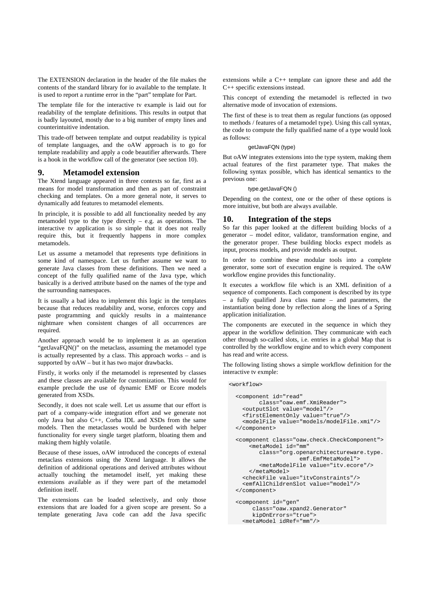The EXTENSION declaration in the header of the file makes the contents of the standard library for io available to the template. It is used to report a runtime error in the "part" template for Part.

The template file for the interactive tv example is laid out for readability of the template definitions. This results in output that is badly layouted, mostly due to a big number of empty lines and counterintuitive indentation.

This trade-off between template and output readability is typical of template languages, and the oAW approach is to go for template readability and apply a code beautifier afterwards. There is a hook in the workflow call of the generator (see section 10).

#### **9. Metamodel extension**

The Xtend language appeared in three contexts so far, first as a means for model transformation and then as part of constraint checking and templates. On a more general note, it serves to dynamically add features to metamodel elements.

In principle, it is possible to add all functionality needed by any metamodel type to the type directly  $-$  e.g. as operations. The interactive tv application is so simple that it does not really require this, but it frequently happens in more complex metamodels.

Let us assume a metamodel that represents type definitions in some kind of namespace. Let us further assume we want to generate Java classes from these definitions. Then we need a concept of the fully qualified name of the Java type, which basically is a derived attribute based on the names of the type and the surrounding namespaces.

It is usually a bad idea to implement this logic in the templates because that reduces readability and, worse, enforces copy and paste programming and quickly results in a maintenance nightmare when consistent changes of all occurrences are required.

Another approach would be to implement it as an operation "getJavaFQN()" on the metaclass, assuming the metamodel type is actually represented by a class. This approach works – and is supported by oAW – but it has two major drawbacks.

Firstly, it works only if the metamodel is represented by classes and these classes are available for customization. This would for example preclude the use of dynamic EMF or Ecore models generated from XSDs.

Secondly, it does not scale well. Let us assume that our effort is part of a company-wide integration effort and we generate not only Java but also C++, Corba IDL and XSDs from the same models. Then the metaclasses would be burdened with helper functionality for every single target platform, bloating them and making them highly volatile.

Because of these issues, oAW introduced the concepts of extenal metaclass extensions using the Xtend language. It allows the definition of additional operations and derived attributes without actually touching the metamodel itself, yet making these extensions available as if they were part of the metamodel definition itself.

The extensions can be loaded selectively, and only those extensions that are loaded for a given scope are present. So a template generating Java code can add the Java specific extensions while a C++ template can ignore these and add the C++ specific extensions instead.

This concept of extending the metamodel is reflected in two alternative mode of invocation of extensions.

The first of these is to treat them as regular functions (as opposed to methods / features of a metamodel type). Using this call syntax, the code to compute the fully qualified name of a type would look as follows:

#### getJavaFQN (type)

But oAW integrates extensions into the type system, making them actual features of the first parameter type. That makes the following syntax possible, which has identical semantics to the previous one:

type.getJavaFQN ()

Depending on the context, one or the other of these options is more intuitive, but both are always available.

#### **10. Integration of the steps**

So far this paper looked at the different building blocks of a generator – model editor, validator, transformation engine, and the generator proper. These building blocks expect models as input, process models, and provide models as output.

In order to combine these modular tools into a complete generator, some sort of execution engine is required. The oAW workflow engine provides this functionality.

It executes a workflow file which is an XML definition of a sequence of components. Each component is described by its type – a fully qualified Java class name – and parameters, the instantiation being done by reflection along the lines of a Spring application initialization.

The components are executed in the sequence in which they appear in the workflow definition. They communicate with each other through so-called slots, i.e. entries in a global Map that is controlled by the workflow engine and to which every component has read and write access.

The following listing shows a simple workflow definition for the interactive tv exmple:

```
<workflow> 
   <component id="read" 
         class="oaw.emf.XmiReader"> 
     <outputSlot value="model"/> 
     <firstElementOnly value="true"/> 
     <modelFile value="models/modelFile.xmi"/> 
   </component> 
   <component class="oaw.check.CheckComponent"> 
       <metaModel id="mm" 
          class="org.openarchitectureware.type. 
                        emf.EmfMetaModel"> 
          <metaModelFile value="itv.ecore"/> 
       </metaModel> 
     <checkFile value="itvConstraints"/> 
     <emfAllChildrenSlot value="model"/> 
   </component> 
   <component id="gen" 
        class="oaw.xpand2.Generator" 
        kipOnErrors="true"> 
     <metaModel idRef="mm"/>
```